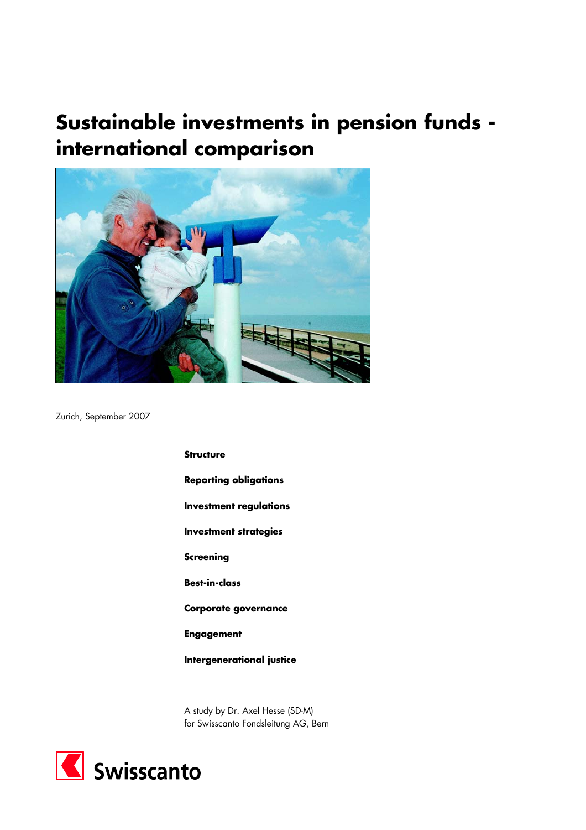# **Sustainable investments in pension funds international comparison**



Zurich, September 2007

**Structure Reporting obligations Investment regulations Investment strategies Screening Best-in-class Corporate governance Engagement Intergenerational justice** 

A study by Dr. Axel Hesse (SD-M) for Swisscanto Fondsleitung AG, Bern

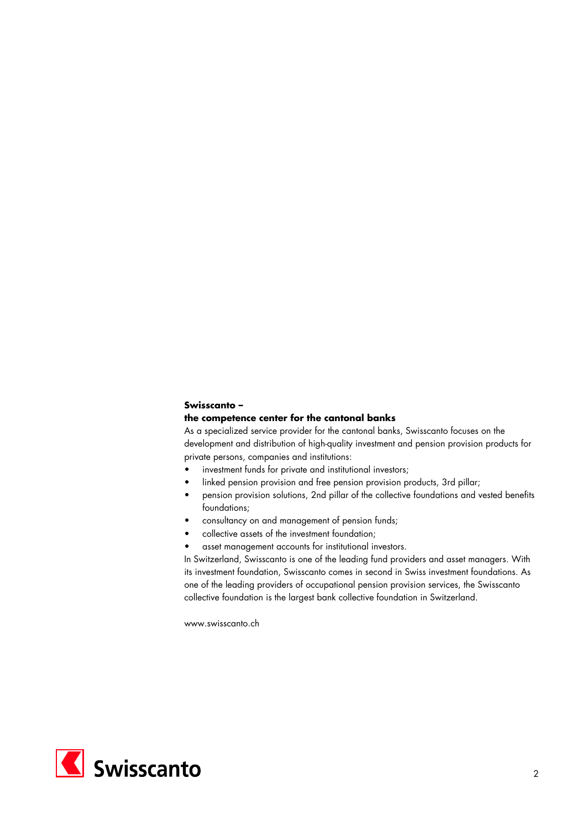# **Swisscanto –**

## **the competence center for the cantonal banks**

As a specialized service provider for the cantonal banks, Swisscanto focuses on the development and distribution of high-quality investment and pension provision products for private persons, companies and institutions:

- investment funds for private and institutional investors;
- linked pension provision and free pension provision products, 3rd pillar;
- pension provision solutions, 2nd pillar of the collective foundations and vested benefits foundations;
- consultancy on and management of pension funds;
- collective assets of the investment foundation;
- asset management accounts for institutional investors.

In Switzerland, Swisscanto is one of the leading fund providers and asset managers. With its investment foundation, Swisscanto comes in second in Swiss investment foundations. As one of the leading providers of occupational pension provision services, the Swisscanto collective foundation is the largest bank collective foundation in Switzerland.

www.swisscanto.ch

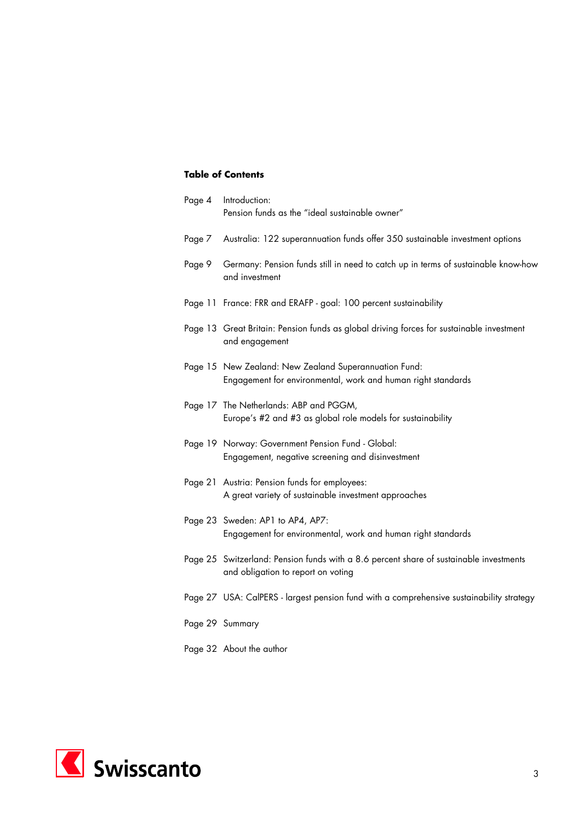# **Table of Contents**

| Page 4 | Introduction:<br>Pension funds as the "ideal sustainable owner"                                                              |
|--------|------------------------------------------------------------------------------------------------------------------------------|
| Page 7 | Australia: 122 superannuation funds offer 350 sustainable investment options                                                 |
| Page 9 | Germany: Pension funds still in need to catch up in terms of sustainable know-how<br>and investment                          |
|        | Page 11 France: FRR and ERAFP - goal: 100 percent sustainability                                                             |
|        | Page 13 Great Britain: Pension funds as global driving forces for sustainable investment<br>and engagement                   |
|        | Page 15 New Zealand: New Zealand Superannuation Fund:<br>Engagement for environmental, work and human right standards        |
|        | Page 17 The Netherlands: ABP and PGGM,<br>Europe's #2 and #3 as global role models for sustainability                        |
|        | Page 19 Norway: Government Pension Fund - Global:<br>Engagement, negative screening and disinvestment                        |
|        | Page 21 Austria: Pension funds for employees:<br>A great variety of sustainable investment approaches                        |
|        | Page 23 Sweden: AP1 to AP4, AP7:<br>Engagement for environmental, work and human right standards                             |
|        | Page 25 Switzerland: Pension funds with a 8.6 percent share of sustainable investments<br>and obligation to report on voting |
|        | Page 27 USA: CalPERS - largest pension fund with a comprehensive sustainability strategy                                     |
|        | Page 29 Summary                                                                                                              |
|        | Page 32 About the author                                                                                                     |

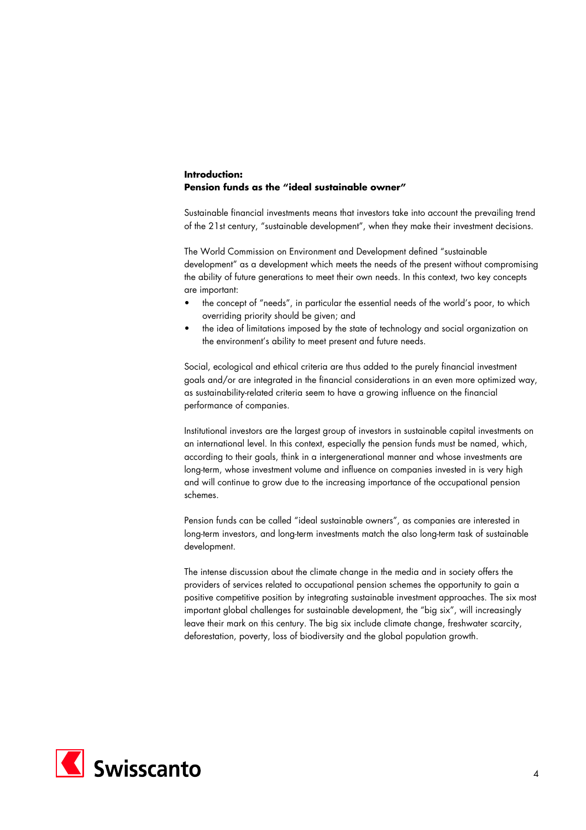## **Introduction: Pension funds as the "ideal sustainable owner"**

Sustainable financial investments means that investors take into account the prevailing trend of the 21st century, "sustainable development", when they make their investment decisions.

The World Commission on Environment and Development defined "sustainable development" as a development which meets the needs of the present without compromising the ability of future generations to meet their own needs. In this context, two key concepts are important:

- the concept of "needs", in particular the essential needs of the world's poor, to which overriding priority should be given; and
- the idea of limitations imposed by the state of technology and social organization on the environment's ability to meet present and future needs.

Social, ecological and ethical criteria are thus added to the purely financial investment goals and/or are integrated in the financial considerations in an even more optimized way, as sustainability-related criteria seem to have a growing influence on the financial performance of companies.

Institutional investors are the largest group of investors in sustainable capital investments on an international level. In this context, especially the pension funds must be named, which, according to their goals, think in a intergenerational manner and whose investments are long-term, whose investment volume and influence on companies invested in is very high and will continue to grow due to the increasing importance of the occupational pension schemes.

Pension funds can be called "ideal sustainable owners", as companies are interested in long-term investors, and long-term investments match the also long-term task of sustainable development.

The intense discussion about the climate change in the media and in society offers the providers of services related to occupational pension schemes the opportunity to gain a positive competitive position by integrating sustainable investment approaches. The six most important global challenges for sustainable development, the "big six", will increasingly leave their mark on this century. The big six include climate change, freshwater scarcity, deforestation, poverty, loss of biodiversity and the global population growth.

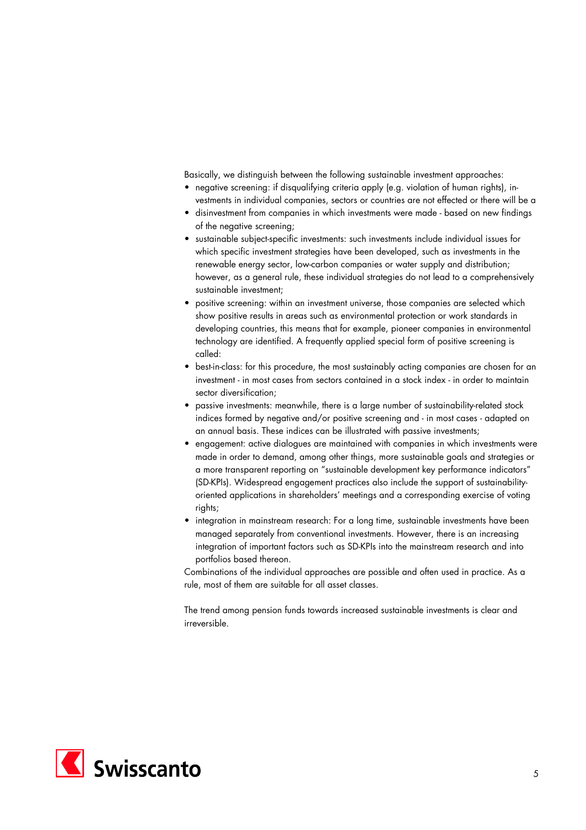Basically, we distinguish between the following sustainable investment approaches:

- negative screening: if disqualifying criteria apply (e.g. violation of human rights), investments in individual companies, sectors or countries are not effected or there will be a
- disinvestment from companies in which investments were made based on new findings of the negative screening;
- sustainable subject-specific investments: such investments include individual issues for which specific investment strategies have been developed, such as investments in the renewable energy sector, low-carbon companies or water supply and distribution; however, as a general rule, these individual strategies do not lead to a comprehensively sustainable investment;
- positive screening: within an investment universe, those companies are selected which show positive results in areas such as environmental protection or work standards in developing countries, this means that for example, pioneer companies in environmental technology are identified. A frequently applied special form of positive screening is called:
- best-in-class: for this procedure, the most sustainably acting companies are chosen for an investment - in most cases from sectors contained in a stock index - in order to maintain sector diversification;
- passive investments: meanwhile, there is a large number of sustainability-related stock indices formed by negative and/or positive screening and - in most cases - adapted on an annual basis. These indices can be illustrated with passive investments;
- engagement: active dialogues are maintained with companies in which investments were made in order to demand, among other things, more sustainable goals and strategies or a more transparent reporting on "sustainable development key performance indicators" (SD-KPIs). Widespread engagement practices also include the support of sustainabilityoriented applications in shareholders' meetings and a corresponding exercise of voting rights;
- integration in mainstream research: For a long time, sustainable investments have been managed separately from conventional investments. However, there is an increasing integration of important factors such as SD-KPIs into the mainstream research and into portfolios based thereon.

Combinations of the individual approaches are possible and often used in practice. As a rule, most of them are suitable for all asset classes.

The trend among pension funds towards increased sustainable investments is clear and irreversible.

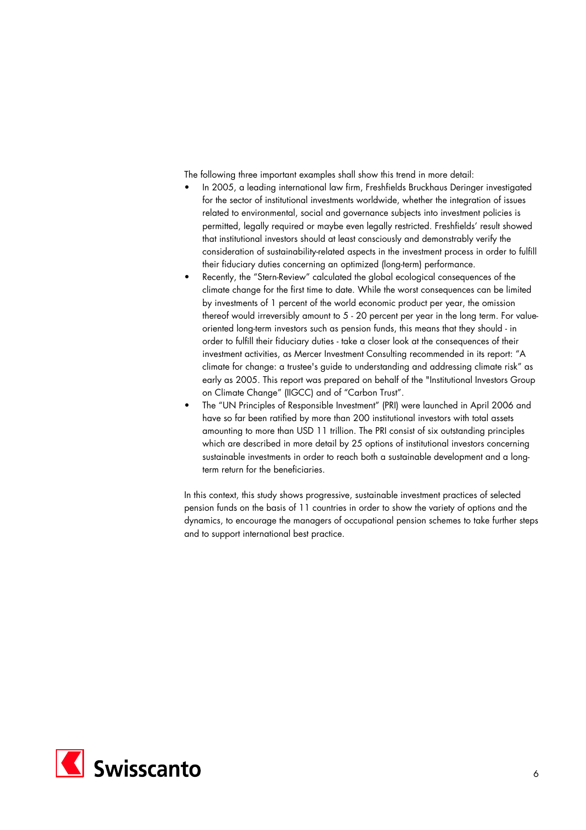The following three important examples shall show this trend in more detail:

- In 2005, a leading international law firm, Freshfields Bruckhaus Deringer investigated for the sector of institutional investments worldwide, whether the integration of issues related to environmental, social and governance subjects into investment policies is permitted, legally required or maybe even legally restricted. Freshfields' result showed that institutional investors should at least consciously and demonstrably verify the consideration of sustainability-related aspects in the investment process in order to fulfill their fiduciary duties concerning an optimized (long-term) performance.
- Recently, the "Stern-Review" calculated the global ecological consequences of the climate change for the first time to date. While the worst consequences can be limited by investments of 1 percent of the world economic product per year, the omission thereof would irreversibly amount to 5 - 20 percent per year in the long term. For valueoriented long-term investors such as pension funds, this means that they should - in order to fulfill their fiduciary duties - take a closer look at the consequences of their investment activities, as Mercer Investment Consulting recommended in its report: "A climate for change: a trustee's guide to understanding and addressing climate risk" as early as 2005. This report was prepared on behalf of the "Institutional Investors Group on Climate Change" (IIGCC) and of "Carbon Trust".
- The "UN Principles of Responsible Investment" (PRI) were launched in April 2006 and have so far been ratified by more than 200 institutional investors with total assets amounting to more than USD 11 trillion. The PRI consist of six outstanding principles which are described in more detail by 25 options of institutional investors concerning sustainable investments in order to reach both a sustainable development and a longterm return for the beneficiaries.

In this context, this study shows progressive, sustainable investment practices of selected pension funds on the basis of 11 countries in order to show the variety of options and the dynamics, to encourage the managers of occupational pension schemes to take further steps and to support international best practice.

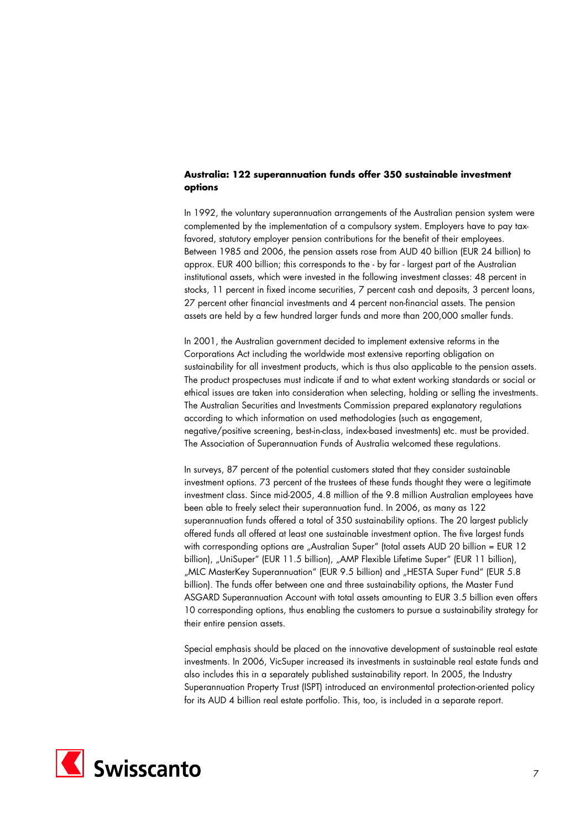# **Australia: 122 superannuation funds offer 350 sustainable investment options**

In 1992, the voluntary superannuation arrangements of the Australian pension system were complemented by the implementation of a compulsory system. Employers have to pay taxfavored, statutory employer pension contributions for the benefit of their employees. Between 1985 and 2006, the pension assets rose from AUD 40 billion (EUR 24 billion) to approx. EUR 400 billion; this corresponds to the - by far - largest part of the Australian institutional assets, which were invested in the following investment classes: 48 percent in stocks, 11 percent in fixed income securities, 7 percent cash and deposits, 3 percent loans, 27 percent other financial investments and 4 percent non-financial assets. The pension assets are held by a few hundred larger funds and more than 200,000 smaller funds.

In 2001, the Australian government decided to implement extensive reforms in the Corporations Act including the worldwide most extensive reporting obligation on sustainability for all investment products, which is thus also applicable to the pension assets. The product prospectuses must indicate if and to what extent working standards or social or ethical issues are taken into consideration when selecting, holding or selling the investments. The Australian Securities and Investments Commission prepared explanatory regulations according to which information on used methodologies (such as engagement, negative/positive screening, best-in-class, index-based investments) etc. must be provided. The Association of Superannuation Funds of Australia welcomed these regulations.

In surveys, 87 percent of the potential customers stated that they consider sustainable investment options. 73 percent of the trustees of these funds thought they were a legitimate investment class. Since mid-2005, 4.8 million of the 9.8 million Australian employees have been able to freely select their superannuation fund. In 2006, as many as 122 superannuation funds offered a total of 350 sustainability options. The 20 largest publicly offered funds all offered at least one sustainable investment option. The five largest funds with corresponding options are "Australian Super" (total assets AUD 20 billion = EUR 12 billion), "UniSuper" (EUR 11.5 billion), "AMP Flexible Lifetime Super" (EUR 11 billion), "MLC MasterKey Superannuation" (EUR 9.5 billion) and "HESTA Super Fund" (EUR 5.8 billion). The funds offer between one and three sustainability options, the Master Fund ASGARD Superannuation Account with total assets amounting to EUR 3.5 billion even offers 10 corresponding options, thus enabling the customers to pursue a sustainability strategy for their entire pension assets.

Special emphasis should be placed on the innovative development of sustainable real estate investments. In 2006, VicSuper increased its investments in sustainable real estate funds and also includes this in a separately published sustainability report. In 2005, the Industry Superannuation Property Trust (ISPT) introduced an environmental protection-oriented policy for its AUD 4 billion real estate portfolio. This, too, is included in a separate report.

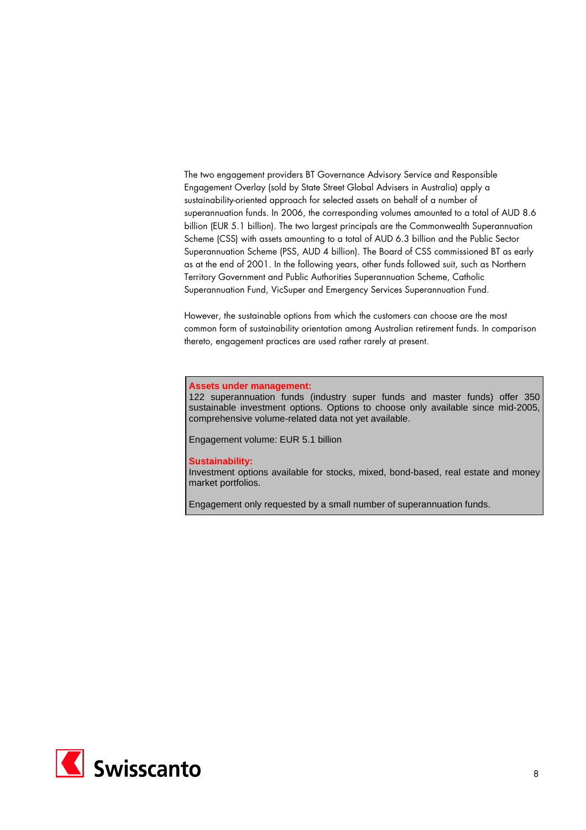The two engagement providers BT Governance Advisory Service and Responsible Engagement Overlay (sold by State Street Global Advisers in Australia) apply a sustainability-oriented approach for selected assets on behalf of a number of superannuation funds. In 2006, the corresponding volumes amounted to a total of AUD 8.6 billion (EUR 5.1 billion). The two largest principals are the Commonwealth Superannuation Scheme (CSS) with assets amounting to a total of AUD 6.3 billion and the Public Sector Superannuation Scheme (PSS, AUD 4 billion). The Board of CSS commissioned BT as early as at the end of 2001. In the following years, other funds followed suit, such as Northern Territory Government and Public Authorities Superannuation Scheme, Catholic Superannuation Fund, VicSuper and Emergency Services Superannuation Fund.

However, the sustainable options from which the customers can choose are the most common form of sustainability orientation among Australian retirement funds. In comparison thereto, engagement practices are used rather rarely at present.

#### **Assets under management:**

122 superannuation funds (industry super funds and master funds) offer 350 sustainable investment options. Options to choose only available since mid-2005, comprehensive volume-related data not yet available.

Engagement volume: EUR 5.1 billion

#### **Sustainability:**

Investment options available for stocks, mixed, bond-based, real estate and money market portfolios.

Engagement only requested by a small number of superannuation funds.

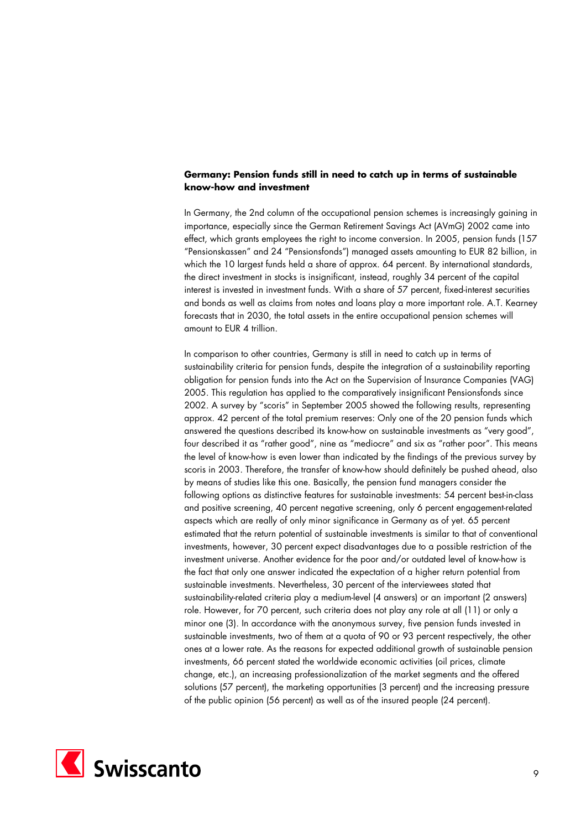# **Germany: Pension funds still in need to catch up in terms of sustainable know-how and investment**

In Germany, the 2nd column of the occupational pension schemes is increasingly gaining in importance, especially since the German Retirement Savings Act (AVmG) 2002 came into effect, which grants employees the right to income conversion. In 2005, pension funds (157 "Pensionskassen" and 24 "Pensionsfonds") managed assets amounting to EUR 82 billion, in which the 10 largest funds held a share of approx. 64 percent. By international standards, the direct investment in stocks is insignificant, instead, roughly 34 percent of the capital interest is invested in investment funds. With a share of 57 percent, fixed-interest securities and bonds as well as claims from notes and loans play a more important role. A.T. Kearney forecasts that in 2030, the total assets in the entire occupational pension schemes will amount to EUR 4 trillion.

In comparison to other countries, Germany is still in need to catch up in terms of sustainability criteria for pension funds, despite the integration of a sustainability reporting obligation for pension funds into the Act on the Supervision of Insurance Companies (VAG) 2005. This regulation has applied to the comparatively insignificant Pensionsfonds since 2002. A survey by "scoris" in September 2005 showed the following results, representing approx. 42 percent of the total premium reserves: Only one of the 20 pension funds which answered the questions described its know-how on sustainable investments as "very good", four described it as "rather good", nine as "mediocre" and six as "rather poor". This means the level of know-how is even lower than indicated by the findings of the previous survey by scoris in 2003. Therefore, the transfer of know-how should definitely be pushed ahead, also by means of studies like this one. Basically, the pension fund managers consider the following options as distinctive features for sustainable investments: 54 percent best-in-class and positive screening, 40 percent negative screening, only 6 percent engagement-related aspects which are really of only minor significance in Germany as of yet. 65 percent estimated that the return potential of sustainable investments is similar to that of conventional investments, however, 30 percent expect disadvantages due to a possible restriction of the investment universe. Another evidence for the poor and/or outdated level of know-how is the fact that only one answer indicated the expectation of a higher return potential from sustainable investments. Nevertheless, 30 percent of the interviewees stated that sustainability-related criteria play a medium-level (4 answers) or an important (2 answers) role. However, for 70 percent, such criteria does not play any role at all (11) or only a minor one (3). In accordance with the anonymous survey, five pension funds invested in sustainable investments, two of them at a quota of 90 or 93 percent respectively, the other ones at a lower rate. As the reasons for expected additional growth of sustainable pension investments, 66 percent stated the worldwide economic activities (oil prices, climate change, etc.), an increasing professionalization of the market segments and the offered solutions (57 percent), the marketing opportunities (3 percent) and the increasing pressure of the public opinion (56 percent) as well as of the insured people (24 percent).

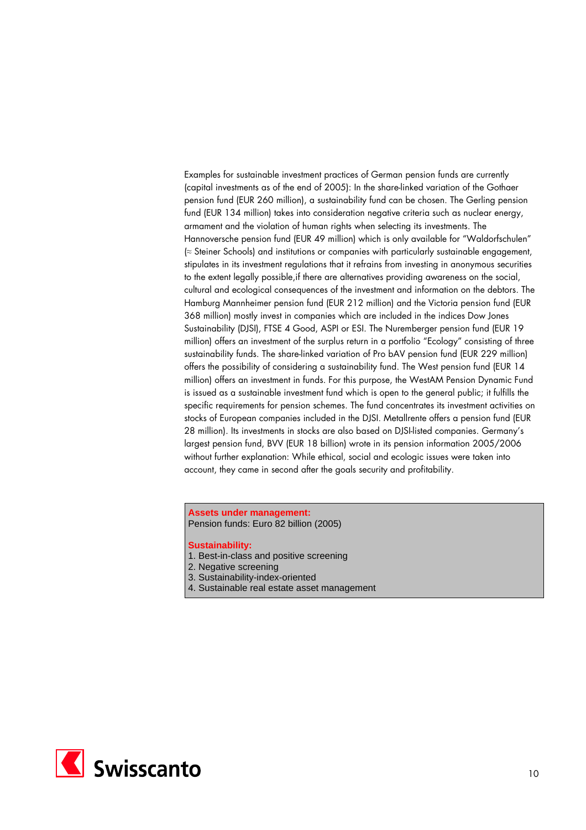Examples for sustainable investment practices of German pension funds are currently (capital investments as of the end of 2005): In the share-linked variation of the Gothaer pension fund (EUR 260 million), a sustainability fund can be chosen. The Gerling pension fund (EUR 134 million) takes into consideration negative criteria such as nuclear energy, armament and the violation of human rights when selecting its investments. The Hannoversche pension fund (EUR 49 million) which is only available for "Waldorfschulen" (≈ Steiner Schools) and institutions or companies with particularly sustainable engagement, stipulates in its investment regulations that it refrains from investing in anonymous securities to the extent legally possible,if there are alternatives providing awareness on the social, cultural and ecological consequences of the investment and information on the debtors. The Hamburg Mannheimer pension fund (EUR 212 million) and the Victoria pension fund (EUR 368 million) mostly invest in companies which are included in the indices Dow Jones Sustainability (DJSI), FTSE 4 Good, ASPI or ESI. The Nuremberger pension fund (EUR 19 million) offers an investment of the surplus return in a portfolio "Ecology" consisting of three sustainability funds. The share-linked variation of Pro bAV pension fund (EUR 229 million) offers the possibility of considering a sustainability fund. The West pension fund (EUR 14 million) offers an investment in funds. For this purpose, the WestAM Pension Dynamic Fund is issued as a sustainable investment fund which is open to the general public; it fulfills the specific requirements for pension schemes. The fund concentrates its investment activities on stocks of European companies included in the DJSI. Metallrente offers a pension fund (EUR 28 million). Its investments in stocks are also based on DJSI-listed companies. Germany's largest pension fund, BVV (EUR 18 billion) wrote in its pension information 2005/2006 without further explanation: While ethical, social and ecologic issues were taken into account, they came in second after the goals security and profitability.

#### **Assets under management:**  Pension funds: Euro 82 billion (2005)

- 1. Best-in-class and positive screening
- 2. Negative screening
- 3. Sustainability-index-oriented
- 4. Sustainable real estate asset management

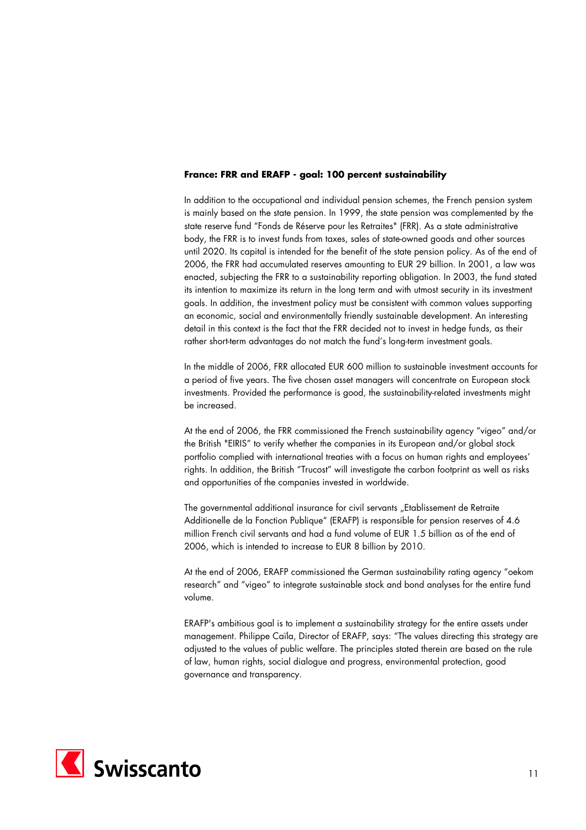## **France: FRR and ERAFP - goal: 100 percent sustainability**

In addition to the occupational and individual pension schemes, the French pension system is mainly based on the state pension. In 1999, the state pension was complemented by the state reserve fund "Fonds de Réserve pour les Retraites" (FRR). As a state administrative body, the FRR is to invest funds from taxes, sales of state-owned goods and other sources until 2020. Its capital is intended for the benefit of the state pension policy. As of the end of 2006, the FRR had accumulated reserves amounting to EUR 29 billion. In 2001, a law was enacted, subjecting the FRR to a sustainability reporting obligation. In 2003, the fund stated its intention to maximize its return in the long term and with utmost security in its investment goals. In addition, the investment policy must be consistent with common values supporting an economic, social and environmentally friendly sustainable development. An interesting detail in this context is the fact that the FRR decided not to invest in hedge funds, as their rather short-term advantages do not match the fund's long-term investment goals.

In the middle of 2006, FRR allocated EUR 600 million to sustainable investment accounts for a period of five years. The five chosen asset managers will concentrate on European stock investments. Provided the performance is good, the sustainability-related investments might be increased.

At the end of 2006, the FRR commissioned the French sustainability agency "vigeo" and/or the British "EIRIS" to verify whether the companies in its European and/or global stock portfolio complied with international treaties with a focus on human rights and employees' rights. In addition, the British "Trucost" will investigate the carbon footprint as well as risks and opportunities of the companies invested in worldwide.

The governmental additional insurance for civil servants "Etablissement de Retraite Additionelle de la Fonction Publique" (ERAFP) is responsible for pension reserves of 4.6 million French civil servants and had a fund volume of EUR 1.5 billion as of the end of 2006, which is intended to increase to EUR 8 billion by 2010.

At the end of 2006, ERAFP commissioned the German sustainability rating agency "oekom research" and "vigeo" to integrate sustainable stock and bond analyses for the entire fund volume.

ERAFP's ambitious goal is to implement a sustainability strategy for the entire assets under management. Philippe Caïla, Director of ERAFP, says: "The values directing this strategy are adjusted to the values of public welfare. The principles stated therein are based on the rule of law, human rights, social dialogue and progress, environmental protection, good governance and transparency.

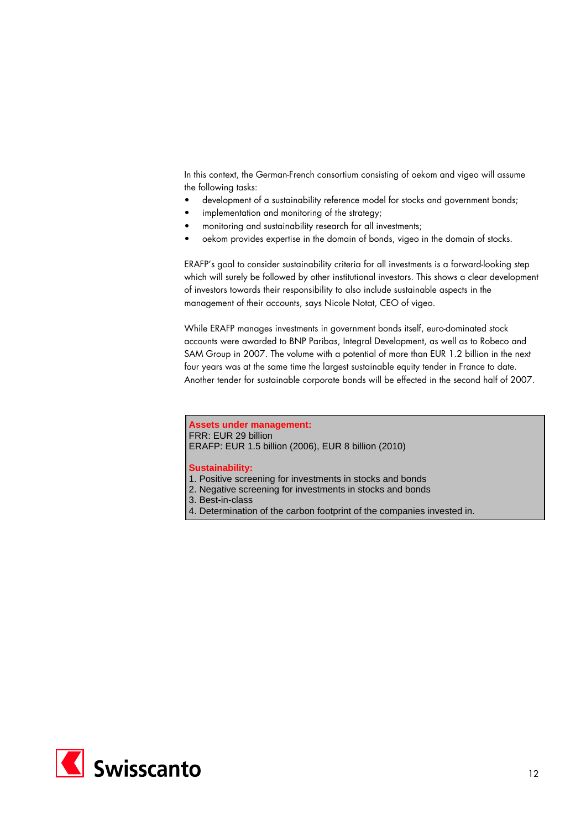In this context, the German-French consortium consisting of oekom and vigeo will assume the following tasks:

- development of a sustainability reference model for stocks and government bonds;
- implementation and monitoring of the strategy;
- monitoring and sustainability research for all investments;
- oekom provides expertise in the domain of bonds, vigeo in the domain of stocks.

ERAFP's goal to consider sustainability criteria for all investments is a forward-looking step which will surely be followed by other institutional investors. This shows a clear development of investors towards their responsibility to also include sustainable aspects in the management of their accounts, says Nicole Notat, CEO of vigeo.

While ERAFP manages investments in government bonds itself, euro-dominated stock accounts were awarded to BNP Paribas, Integral Development, as well as to Robeco and SAM Group in 2007. The volume with a potential of more than EUR 1.2 billion in the next four years was at the same time the largest sustainable equity tender in France to date. Another tender for sustainable corporate bonds will be effected in the second half of 2007.

#### **Assets under management:**

FRR: EUR 29 billion ERAFP: EUR 1.5 billion (2006), EUR 8 billion (2010)

- 1. Positive screening for investments in stocks and bonds
- 2. Negative screening for investments in stocks and bonds
- 3. Best-in-class
- 4. Determination of the carbon footprint of the companies invested in.

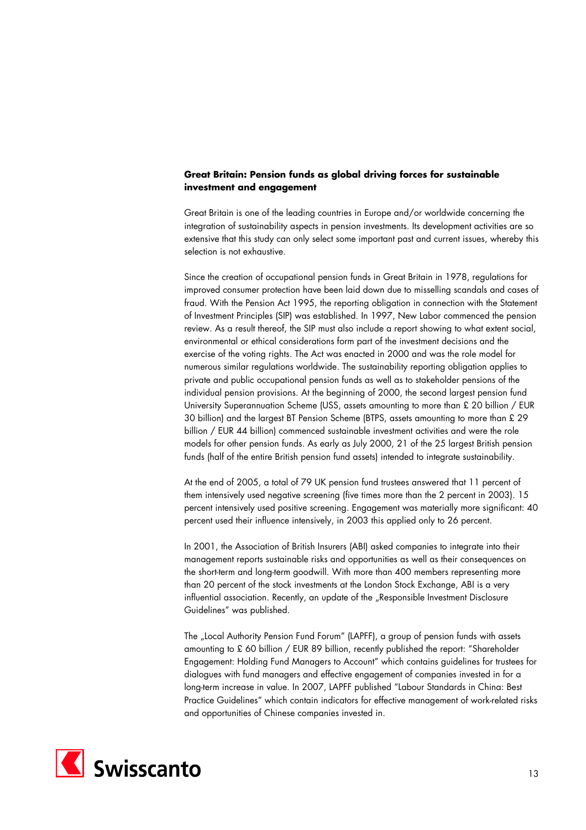# **Great Britain: Pension funds as global driving forces for sustainable investment and engagement**

Great Britain is one of the leading countries in Europe and/or worldwide concerning the integration of sustainability aspects in pension investments. Its development activities are so extensive that this study can only select some important past and current issues, whereby this selection is not exhaustive.

Since the creation of occupational pension funds in Great Britain in 1978, regulations for improved consumer protection have been laid down due to misselling scandals and cases of fraud. With the Pension Act 1995, the reporting obligation in connection with the Statement of Investment Principles (SIP) was established. In 1997, New Labor commenced the pension review. As a result thereof, the SIP must also include a report showing to what extent social, environmental or ethical considerations form part of the investment decisions and the exercise of the voting rights. The Act was enacted in 2000 and was the role model for numerous similar regulations worldwide. The sustainability reporting obligation applies to private and public occupational pension funds as well as to stakeholder pensions of the individual pension provisions. At the beginning of 2000, the second largest pension fund University Superannuation Scheme (USS, assets amounting to more than £ 20 billion / EUR 30 billion) and the largest BT Pension Scheme (BTPS, assets amounting to more than £ 29 billion / EUR 44 billion) commenced sustainable investment activities and were the role models for other pension funds. As early as July 2000, 21 of the 25 largest British pension funds (half of the entire British pension fund assets) intended to integrate sustainability.

At the end of 2005, a total of 79 UK pension fund trustees answered that 11 percent of them intensively used negative screening (five times more than the 2 percent in 2003). 15 percent intensively used positive screening. Engagement was materially more significant: 40 percent used their influence intensively, in 2003 this applied only to 26 percent.

In 2001, the Association of British Insurers (ABI) asked companies to integrate into their management reports sustainable risks and opportunities as well as their consequences on the short-term and long-term goodwill. With more than 400 members representing more than 20 percent of the stock investments at the London Stock Exchange, ABI is a very influential association. Recently, an update of the "Responsible Investment Disclosure Guidelines" was published.

The "Local Authority Pension Fund Forum" (LAPFF), a group of pension funds with assets amounting to £ 60 billion / EUR 89 billion, recently published the report: "Shareholder Engagement: Holding Fund Managers to Account" which contains guidelines for trustees for dialogues with fund managers and effective engagement of companies invested in for a long-term increase in value. In 2007, LAPFF published "Labour Standards in China: Best Practice Guidelines" which contain indicators for effective management of work-related risks and opportunities of Chinese companies invested in.

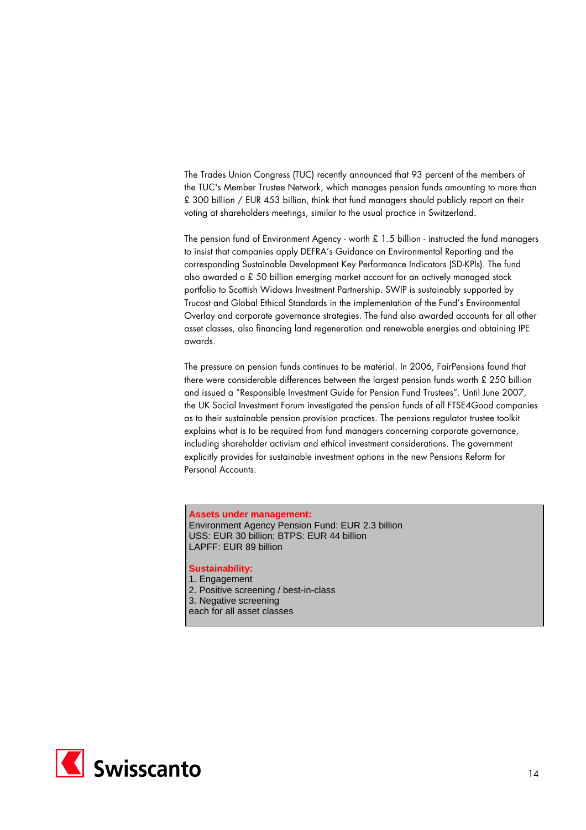The Trades Union Congress (TUC) recently announced that 93 percent of the members of the TUC's Member Trustee Network, which manages pension funds amounting to more than £ 300 billion / EUR 453 billion, think that fund managers should publicly report on their voting at shareholders meetings, similar to the usual practice in Switzerland.

The pension fund of Environment Agency - worth £ 1.5 billion - instructed the fund managers to insist that companies apply DEFRA's Guidance on Environmental Reporting and the corresponding Sustainable Development Key Performance Indicators (SD-KPIs). The fund also awarded a £ 50 billion emerging market account for an actively managed stock portfolio to Scottish Widows Investment Partnership. SWIP is sustainably supported by Trucost and Global Ethical Standards in the implementation of the Fund's Environmental Overlay and corporate governance strategies. The fund also awarded accounts for all other asset classes, also financing land regeneration and renewable energies and obtaining IPE awards.

The pressure on pension funds continues to be material. In 2006, FairPensions found that there were considerable differences between the largest pension funds worth £ 250 billion and issued a "Responsible Investment Guide for Pension Fund Trustees". Until June 2007, the UK Social Investment Forum investigated the pension funds of all FTSE4Good companies as to their sustainable pension provision practices. The pensions regulator trustee toolkit explains what is to be required from fund managers concerning corporate governance, including shareholder activism and ethical investment considerations. The government explicitly provides for sustainable investment options in the new Pensions Reform for Personal Accounts.

**Assets under management:**  Environment Agency Pension Fund: EUR 2.3 billion USS: EUR 30 billion; BTPS: EUR 44 billion LAPFF: EUR 89 billion

# **Sustainability:**

1. Engagement 2. Positive screening / best-in-class 3. Negative screening each for all asset classes

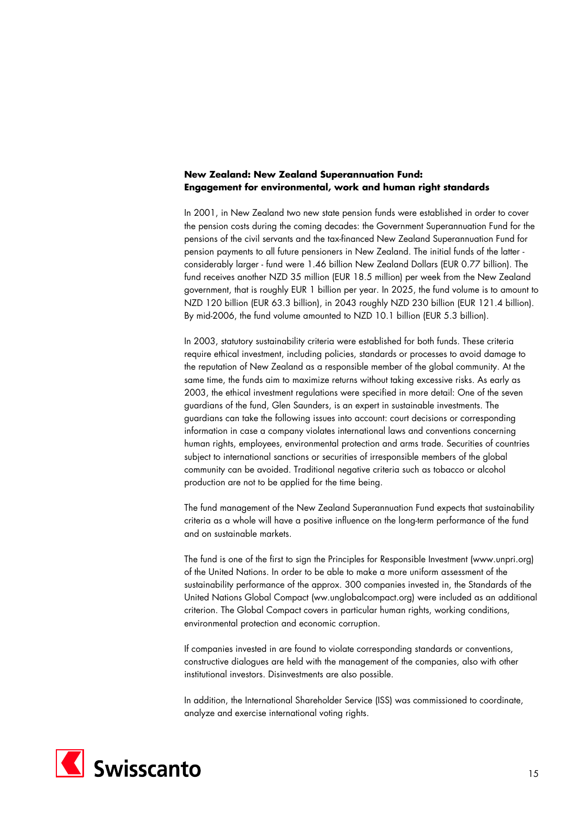# **New Zealand: New Zealand Superannuation Fund: Engagement for environmental, work and human right standards**

In 2001, in New Zealand two new state pension funds were established in order to cover the pension costs during the coming decades: the Government Superannuation Fund for the pensions of the civil servants and the tax-financed New Zealand Superannuation Fund for pension payments to all future pensioners in New Zealand. The initial funds of the latter considerably larger - fund were 1.46 billion New Zealand Dollars (EUR 0.77 billion). The fund receives another NZD 35 million (EUR 18.5 million) per week from the New Zealand government, that is roughly EUR 1 billion per year. In 2025, the fund volume is to amount to NZD 120 billion (EUR 63.3 billion), in 2043 roughly NZD 230 billion (EUR 121.4 billion). By mid-2006, the fund volume amounted to NZD 10.1 billion (EUR 5.3 billion).

In 2003, statutory sustainability criteria were established for both funds. These criteria require ethical investment, including policies, standards or processes to avoid damage to the reputation of New Zealand as a responsible member of the global community. At the same time, the funds aim to maximize returns without taking excessive risks. As early as 2003, the ethical investment regulations were specified in more detail: One of the seven guardians of the fund, Glen Saunders, is an expert in sustainable investments. The guardians can take the following issues into account: court decisions or corresponding information in case a company violates international laws and conventions concerning human rights, employees, environmental protection and arms trade. Securities of countries subject to international sanctions or securities of irresponsible members of the global community can be avoided. Traditional negative criteria such as tobacco or alcohol production are not to be applied for the time being.

The fund management of the New Zealand Superannuation Fund expects that sustainability criteria as a whole will have a positive influence on the long-term performance of the fund and on sustainable markets.

The fund is one of the first to sign the Principles for Responsible Investment (www.unpri.org) of the United Nations. In order to be able to make a more uniform assessment of the sustainability performance of the approx. 300 companies invested in, the Standards of the United Nations Global Compact (ww.unglobalcompact.org) were included as an additional criterion. The Global Compact covers in particular human rights, working conditions, environmental protection and economic corruption.

If companies invested in are found to violate corresponding standards or conventions, constructive dialogues are held with the management of the companies, also with other institutional investors. Disinvestments are also possible.

In addition, the International Shareholder Service (ISS) was commissioned to coordinate, analyze and exercise international voting rights.

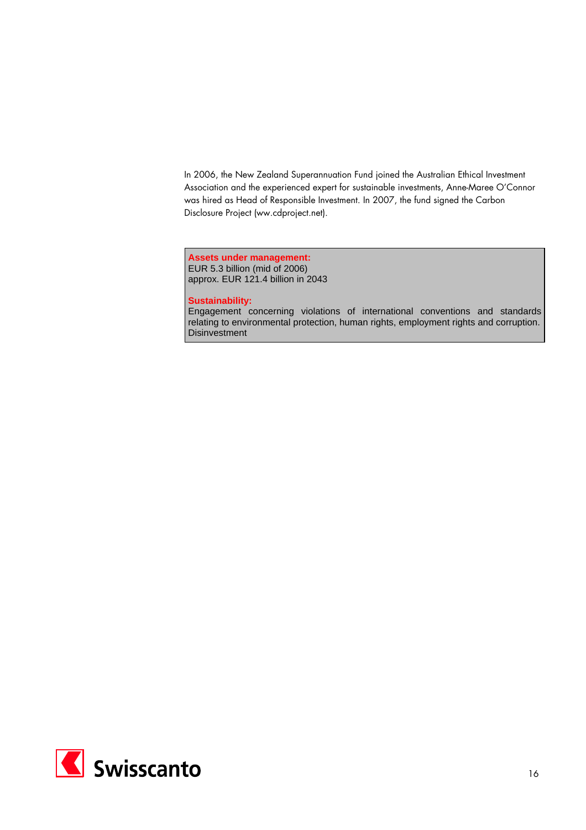In 2006, the New Zealand Superannuation Fund joined the Australian Ethical Investment Association and the experienced expert for sustainable investments, Anne-Maree O'Connor was hired as Head of Responsible Investment. In 2007, the fund signed the Carbon Disclosure Project (ww.cdproject.net).

**Assets under management:**  EUR 5.3 billion (mid of 2006) approx. EUR 121.4 billion in 2043

#### **Sustainability:**

Engagement concerning violations of international conventions and standards relating to environmental protection, human rights, employment rights and corruption. **Disinvestment** 

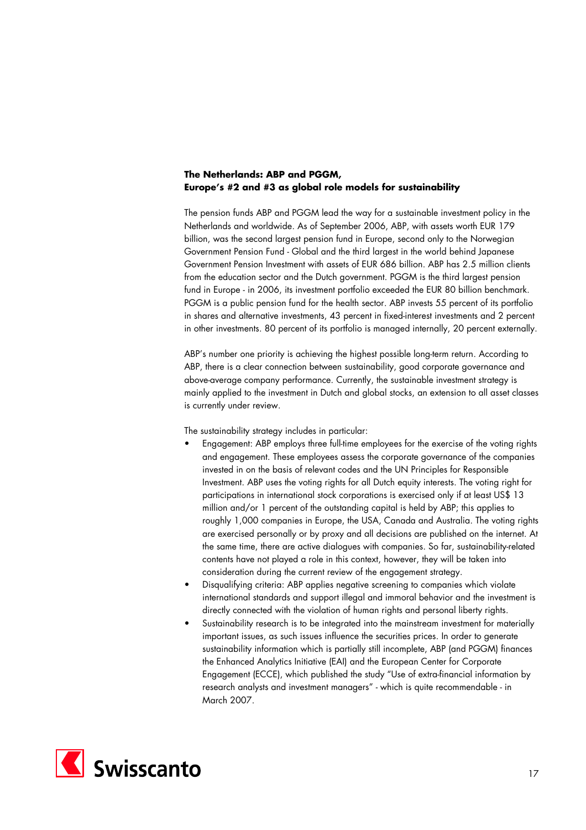# **The Netherlands: ABP and PGGM, Europe's #2 and #3 as global role models for sustainability**

The pension funds ABP and PGGM lead the way for a sustainable investment policy in the Netherlands and worldwide. As of September 2006, ABP, with assets worth EUR 179 billion, was the second largest pension fund in Europe, second only to the Norwegian Government Pension Fund - Global and the third largest in the world behind Japanese Government Pension Investment with assets of EUR 686 billion. ABP has 2.5 million clients from the education sector and the Dutch government. PGGM is the third largest pension fund in Europe - in 2006, its investment portfolio exceeded the EUR 80 billion benchmark. PGGM is a public pension fund for the health sector. ABP invests 55 percent of its portfolio in shares and alternative investments, 43 percent in fixed-interest investments and 2 percent in other investments. 80 percent of its portfolio is managed internally, 20 percent externally.

ABP's number one priority is achieving the highest possible long-term return. According to ABP, there is a clear connection between sustainability, good corporate governance and above-average company performance. Currently, the sustainable investment strategy is mainly applied to the investment in Dutch and global stocks, an extension to all asset classes is currently under review.

The sustainability strategy includes in particular:

- Engagement: ABP employs three full-time employees for the exercise of the voting rights and engagement. These employees assess the corporate governance of the companies invested in on the basis of relevant codes and the UN Principles for Responsible Investment. ABP uses the voting rights for all Dutch equity interests. The voting right for participations in international stock corporations is exercised only if at least US\$ 13 million and/or 1 percent of the outstanding capital is held by ABP; this applies to roughly 1,000 companies in Europe, the USA, Canada and Australia. The voting rights are exercised personally or by proxy and all decisions are published on the internet. At the same time, there are active dialogues with companies. So far, sustainability-related contents have not played a role in this context, however, they will be taken into consideration during the current review of the engagement strategy.
- Disqualifying criteria: ABP applies negative screening to companies which violate international standards and support illegal and immoral behavior and the investment is directly connected with the violation of human rights and personal liberty rights.
- Sustainability research is to be integrated into the mainstream investment for materially important issues, as such issues influence the securities prices. In order to generate sustainability information which is partially still incomplete, ABP (and PGGM) finances the Enhanced Analytics Initiative (EAI) and the European Center for Corporate Engagement (ECCE), which published the study "Use of extra-financial information by research analysts and investment managers" - which is quite recommendable - in March 2007.

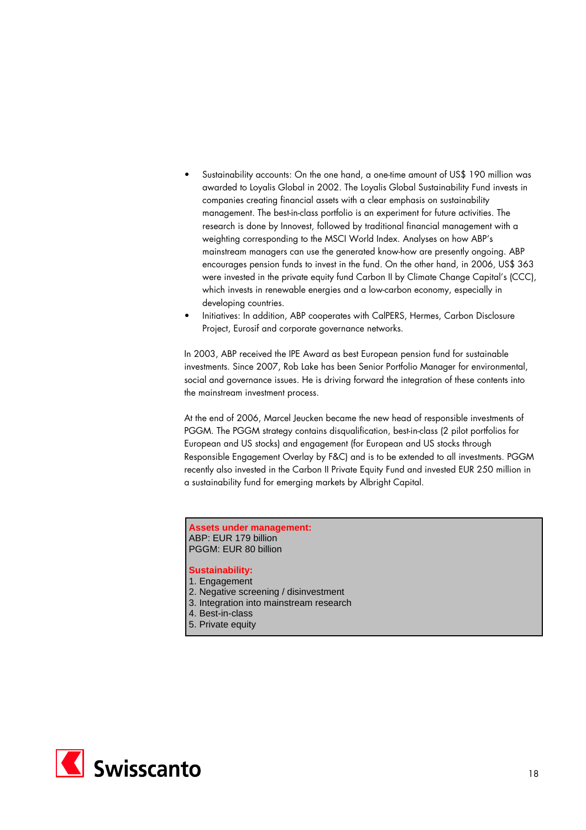- Sustainability accounts: On the one hand, a one-time amount of US\$ 190 million was awarded to Loyalis Global in 2002. The Loyalis Global Sustainability Fund invests in companies creating financial assets with a clear emphasis on sustainability management. The best-in-class portfolio is an experiment for future activities. The research is done by Innovest, followed by traditional financial management with a weighting corresponding to the MSCI World Index. Analyses on how ABP's mainstream managers can use the generated know-how are presently ongoing. ABP encourages pension funds to invest in the fund. On the other hand, in 2006, US\$ 363 were invested in the private equity fund Carbon II by Climate Change Capital's (CCC), which invests in renewable energies and a low-carbon economy, especially in developing countries.
- Initiatives: In addition, ABP cooperates with CalPERS, Hermes, Carbon Disclosure Project, Eurosif and corporate governance networks.

In 2003, ABP received the IPE Award as best European pension fund for sustainable investments. Since 2007, Rob Lake has been Senior Portfolio Manager for environmental, social and governance issues. He is driving forward the integration of these contents into the mainstream investment process.

At the end of 2006, Marcel Jeucken became the new head of responsible investments of PGGM. The PGGM strategy contains disqualification, best-in-class (2 pilot portfolios for European and US stocks) and engagement (for European and US stocks through Responsible Engagement Overlay by F&C) and is to be extended to all investments. PGGM recently also invested in the Carbon II Private Equity Fund and invested EUR 250 million in a sustainability fund for emerging markets by Albright Capital.

#### **Assets under management:** ABP: EUR 179 billion PGGM: EUR 80 billion

- 1. Engagement
- 2. Negative screening / disinvestment
- 3. Integration into mainstream research
- 4. Best-in-class
- 5. Private equity

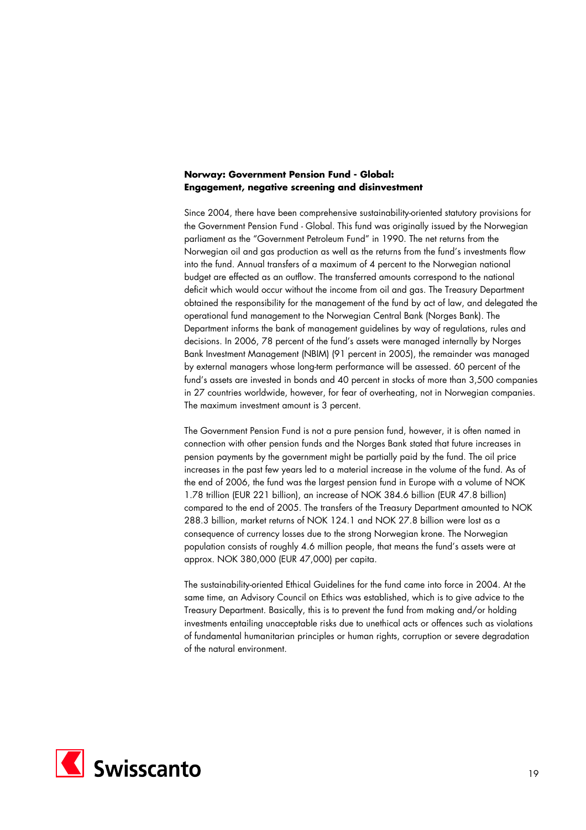## **Norway: Government Pension Fund - Global: Engagement, negative screening and disinvestment**

Since 2004, there have been comprehensive sustainability-oriented statutory provisions for the Government Pension Fund - Global. This fund was originally issued by the Norwegian parliament as the "Government Petroleum Fund" in 1990. The net returns from the Norwegian oil and gas production as well as the returns from the fund's investments flow into the fund. Annual transfers of a maximum of 4 percent to the Norwegian national budget are effected as an outflow. The transferred amounts correspond to the national deficit which would occur without the income from oil and gas. The Treasury Department obtained the responsibility for the management of the fund by act of law, and delegated the operational fund management to the Norwegian Central Bank (Norges Bank). The Department informs the bank of management guidelines by way of regulations, rules and decisions. In 2006, 78 percent of the fund's assets were managed internally by Norges Bank Investment Management (NBIM) (91 percent in 2005), the remainder was managed by external managers whose long-term performance will be assessed. 60 percent of the fund's assets are invested in bonds and 40 percent in stocks of more than 3,500 companies in 27 countries worldwide, however, for fear of overheating, not in Norwegian companies. The maximum investment amount is 3 percent.

The Government Pension Fund is not a pure pension fund, however, it is often named in connection with other pension funds and the Norges Bank stated that future increases in pension payments by the government might be partially paid by the fund. The oil price increases in the past few years led to a material increase in the volume of the fund. As of the end of 2006, the fund was the largest pension fund in Europe with a volume of NOK 1.78 trillion (EUR 221 billion), an increase of NOK 384.6 billion (EUR 47.8 billion) compared to the end of 2005. The transfers of the Treasury Department amounted to NOK 288.3 billion, market returns of NOK 124.1 and NOK 27.8 billion were lost as a consequence of currency losses due to the strong Norwegian krone. The Norwegian population consists of roughly 4.6 million people, that means the fund's assets were at approx. NOK 380,000 (EUR 47,000) per capita.

The sustainability-oriented Ethical Guidelines for the fund came into force in 2004. At the same time, an Advisory Council on Ethics was established, which is to give advice to the Treasury Department. Basically, this is to prevent the fund from making and/or holding investments entailing unacceptable risks due to unethical acts or offences such as violations of fundamental humanitarian principles or human rights, corruption or severe degradation of the natural environment.

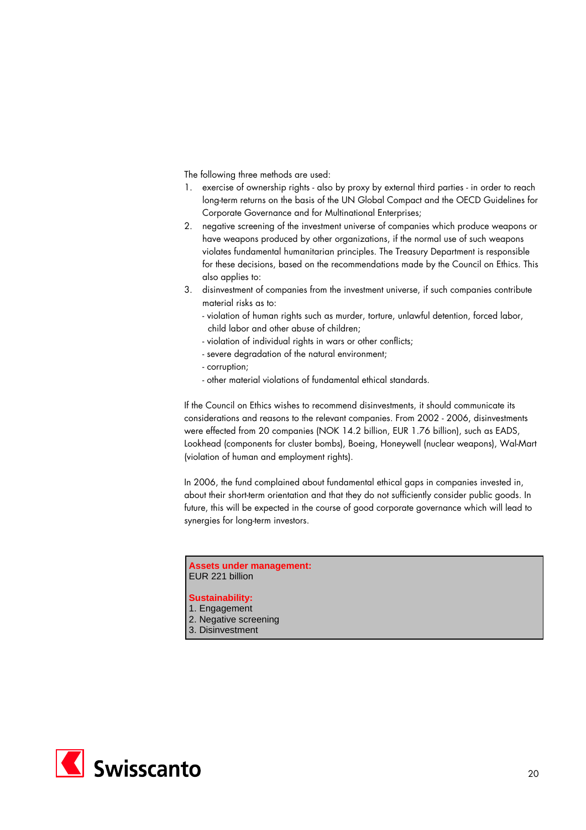The following three methods are used:

- 1. exercise of ownership rights also by proxy by external third parties in order to reach long-term returns on the basis of the UN Global Compact and the OECD Guidelines for Corporate Governance and for Multinational Enterprises;
- 2. negative screening of the investment universe of companies which produce weapons or have weapons produced by other organizations, if the normal use of such weapons violates fundamental humanitarian principles. The Treasury Department is responsible for these decisions, based on the recommendations made by the Council on Ethics. This also applies to:
- 3. disinvestment of companies from the investment universe, if such companies contribute material risks as to:
	- violation of human rights such as murder, torture, unlawful detention, forced labor, child labor and other abuse of children;
	- violation of individual rights in wars or other conflicts;
	- severe degradation of the natural environment;
	- corruption;
	- other material violations of fundamental ethical standards.

If the Council on Ethics wishes to recommend disinvestments, it should communicate its considerations and reasons to the relevant companies. From 2002 - 2006, disinvestments were effected from 20 companies (NOK 14.2 billion, EUR 1.76 billion), such as EADS, Lookhead (components for cluster bombs), Boeing, Honeywell (nuclear weapons), Wal-Mart (violation of human and employment rights).

In 2006, the fund complained about fundamental ethical gaps in companies invested in, about their short-term orientation and that they do not sufficiently consider public goods. In future, this will be expected in the course of good corporate governance which will lead to synergies for long-term investors.

**Assets under management:** EUR 221 billion

- 1. Engagement
- 2. Negative screening
- 3. Disinvestment

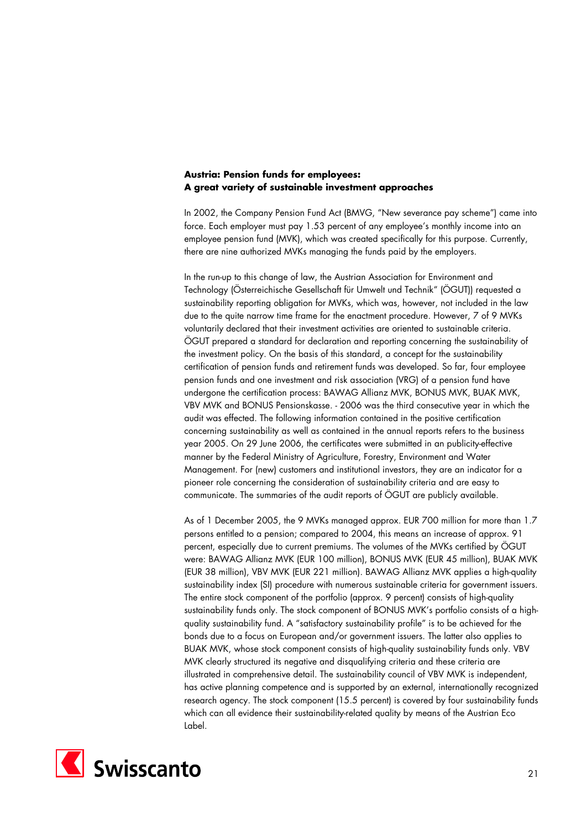## **Austria: Pension funds for employees: A great variety of sustainable investment approaches**

In 2002, the Company Pension Fund Act (BMVG, "New severance pay scheme") came into force. Each employer must pay 1.53 percent of any employee's monthly income into an employee pension fund (MVK), which was created specifically for this purpose. Currently, there are nine authorized MVKs managing the funds paid by the employers.

In the run-up to this change of law, the Austrian Association for Environment and Technology (Österreichische Gesellschaft für Umwelt und Technik" (ÖGUT)) requested a sustainability reporting obligation for MVKs, which was, however, not included in the law due to the quite narrow time frame for the enactment procedure. However, 7 of 9 MVKs voluntarily declared that their investment activities are oriented to sustainable criteria. ÖGUT prepared a standard for declaration and reporting concerning the sustainability of the investment policy. On the basis of this standard, a concept for the sustainability certification of pension funds and retirement funds was developed. So far, four employee pension funds and one investment and risk association (VRG) of a pension fund have undergone the certification process: BAWAG Allianz MVK, BONUS MVK, BUAK MVK, VBV MVK and BONUS Pensionskasse. - 2006 was the third consecutive year in which the audit was effected. The following information contained in the positive certification concerning sustainability as well as contained in the annual reports refers to the business year 2005. On 29 June 2006, the certificates were submitted in an publicity-effective manner by the Federal Ministry of Agriculture, Forestry, Environment and Water Management. For (new) customers and institutional investors, they are an indicator for a pioneer role concerning the consideration of sustainability criteria and are easy to communicate. The summaries of the audit reports of ÖGUT are publicly available.

As of 1 December 2005, the 9 MVKs managed approx. EUR 700 million for more than 1.7 persons entitled to a pension; compared to 2004, this means an increase of approx. 91 percent, especially due to current premiums. The volumes of the MVKs certified by ÖGUT were: BAWAG Allianz MVK (EUR 100 million), BONUS MVK (EUR 45 million), BUAK MVK (EUR 38 million), VBV MVK (EUR 221 million). BAWAG Allianz MVK applies a high-quality sustainability index (SI) procedure with numerous sustainable criteria for government issuers. The entire stock component of the portfolio (approx. 9 percent) consists of high-quality sustainability funds only. The stock component of BONUS MVK's portfolio consists of a highquality sustainability fund. A "satisfactory sustainability profile" is to be achieved for the bonds due to a focus on European and/or government issuers. The latter also applies to BUAK MVK, whose stock component consists of high-quality sustainability funds only. VBV MVK clearly structured its negative and disqualifying criteria and these criteria are illustrated in comprehensive detail. The sustainability council of VBV MVK is independent, has active planning competence and is supported by an external, internationally recognized research agency. The stock component (15.5 percent) is covered by four sustainability funds which can all evidence their sustainability-related quality by means of the Austrian Eco Label.

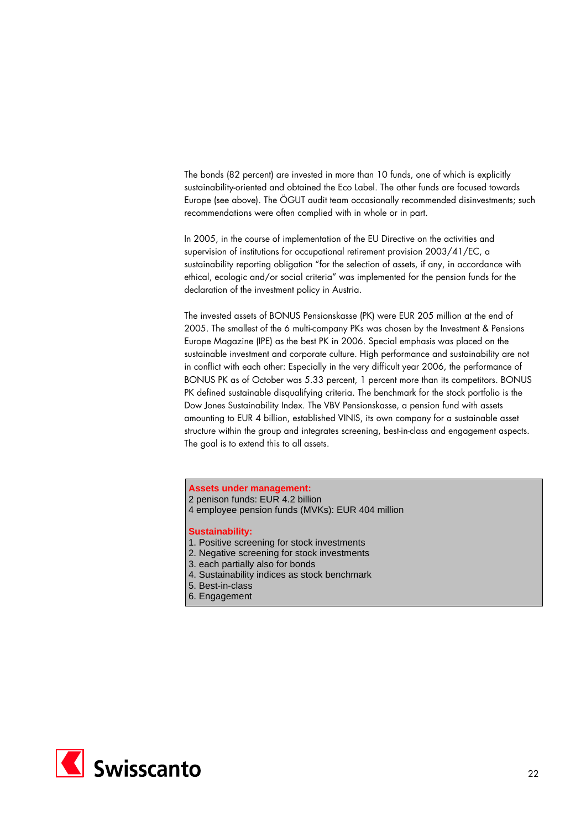The bonds (82 percent) are invested in more than 10 funds, one of which is explicitly sustainability-oriented and obtained the Eco Label. The other funds are focused towards Europe (see above). The ÖGUT audit team occasionally recommended disinvestments; such recommendations were often complied with in whole or in part.

In 2005, in the course of implementation of the EU Directive on the activities and supervision of institutions for occupational retirement provision 2003/41/EC, a sustainability reporting obligation "for the selection of assets, if any, in accordance with ethical, ecologic and/or social criteria" was implemented for the pension funds for the declaration of the investment policy in Austria.

The invested assets of BONUS Pensionskasse (PK) were EUR 205 million at the end of 2005. The smallest of the 6 multi-company PKs was chosen by the Investment & Pensions Europe Magazine (IPE) as the best PK in 2006. Special emphasis was placed on the sustainable investment and corporate culture. High performance and sustainability are not in conflict with each other: Especially in the very difficult year 2006, the performance of BONUS PK as of October was 5.33 percent, 1 percent more than its competitors. BONUS PK defined sustainable disqualifying criteria. The benchmark for the stock portfolio is the Dow Jones Sustainability Index. The VBV Pensionskasse, a pension fund with assets amounting to EUR 4 billion, established VINIS, its own company for a sustainable asset structure within the group and integrates screening, best-in-class and engagement aspects. The goal is to extend this to all assets.

**Assets under management:**

- 2 penison funds: EUR 4.2 billion
- 4 employee pension funds (MVKs): EUR 404 million

- 1. Positive screening for stock investments
- 2. Negative screening for stock investments
- 3. each partially also for bonds
- 4. Sustainability indices as stock benchmark
- 5. Best-in-class
- 6. Engagement

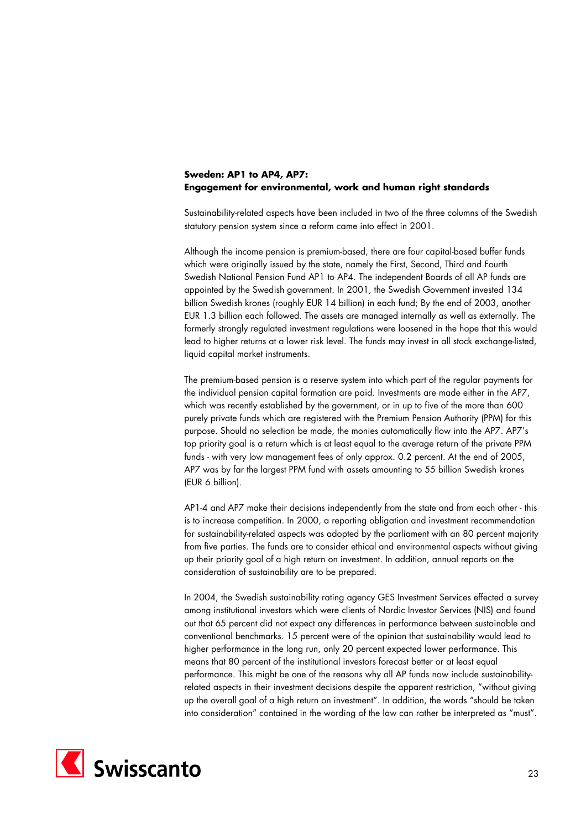# **Sweden: AP1 to AP4, AP7: Engagement for environmental, work and human right standards**

Sustainability-related aspects have been included in two of the three columns of the Swedish statutory pension system since a reform came into effect in 2001.

Although the income pension is premium-based, there are four capital-based buffer funds which were originally issued by the state, namely the First, Second, Third and Fourth Swedish National Pension Fund AP1 to AP4. The independent Boards of all AP funds are appointed by the Swedish government. In 2001, the Swedish Government invested 134 billion Swedish krones (roughly EUR 14 billion) in each fund; By the end of 2003, another EUR 1.3 billion each followed. The assets are managed internally as well as externally. The formerly strongly regulated investment regulations were loosened in the hope that this would lead to higher returns at a lower risk level. The funds may invest in all stock exchange-listed, liquid capital market instruments.

The premium-based pension is a reserve system into which part of the regular payments for the individual pension capital formation are paid. Investments are made either in the AP7, which was recently established by the government, or in up to five of the more than 600 purely private funds which are registered with the Premium Pension Authority (PPM) for this purpose. Should no selection be made, the monies automatically flow into the AP7. AP7's top priority goal is a return which is at least equal to the average return of the private PPM funds - with very low management fees of only approx. 0.2 percent. At the end of 2005, AP7 was by far the largest PPM fund with assets amounting to 55 billion Swedish krones (EUR 6 billion).

AP1-4 and AP7 make their decisions independently from the state and from each other - this is to increase competition. In 2000, a reporting obligation and investment recommendation for sustainability-related aspects was adopted by the parliament with an 80 percent majority from five parties. The funds are to consider ethical and environmental aspects without giving up their priority goal of a high return on investment. In addition, annual reports on the consideration of sustainability are to be prepared.

In 2004, the Swedish sustainability rating agency GES Investment Services effected a survey among institutional investors which were clients of Nordic Investor Services (NIS) and found out that 65 percent did not expect any differences in performance between sustainable and conventional benchmarks. 15 percent were of the opinion that sustainability would lead to higher performance in the long run, only 20 percent expected lower performance. This means that 80 percent of the institutional investors forecast better or at least equal performance. This might be one of the reasons why all AP funds now include sustainabilityrelated aspects in their investment decisions despite the apparent restriction, "without giving up the overall goal of a high return on investment". In addition, the words "should be taken into consideration" contained in the wording of the law can rather be interpreted as "must".

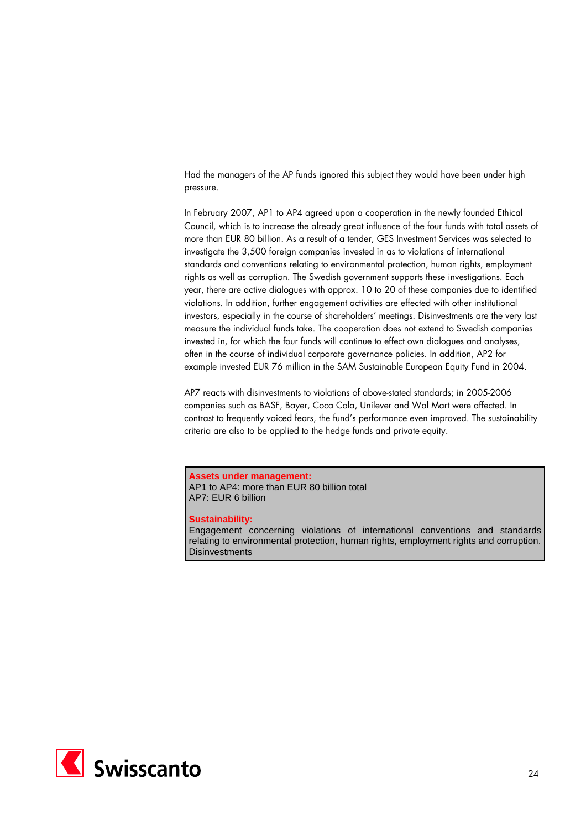Had the managers of the AP funds ignored this subject they would have been under high pressure.

In February 2007, AP1 to AP4 agreed upon a cooperation in the newly founded Ethical Council, which is to increase the already great influence of the four funds with total assets of more than EUR 80 billion. As a result of a tender, GES Investment Services was selected to investigate the 3,500 foreign companies invested in as to violations of international standards and conventions relating to environmental protection, human rights, employment rights as well as corruption. The Swedish government supports these investigations. Each year, there are active dialogues with approx. 10 to 20 of these companies due to identified violations. In addition, further engagement activities are effected with other institutional investors, especially in the course of shareholders' meetings. Disinvestments are the very last measure the individual funds take. The cooperation does not extend to Swedish companies invested in, for which the four funds will continue to effect own dialogues and analyses, often in the course of individual corporate governance policies. In addition, AP2 for example invested EUR 76 million in the SAM Sustainable European Equity Fund in 2004.

AP7 reacts with disinvestments to violations of above-stated standards; in 2005-2006 companies such as BASF, Bayer, Coca Cola, Unilever and Wal Mart were affected. In contrast to frequently voiced fears, the fund's performance even improved. The sustainability criteria are also to be applied to the hedge funds and private equity.

**Assets under management:**  AP1 to AP4: more than EUR 80 billion total AP7: EUR 6 billion

#### **Sustainability:**

Engagement concerning violations of international conventions and standards relating to environmental protection, human rights, employment rights and corruption. **Disinvestments** 

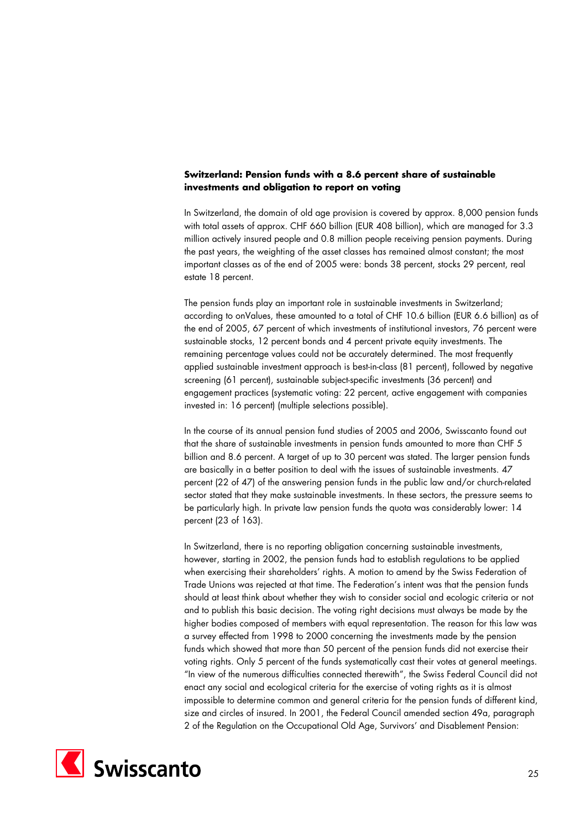# **Switzerland: Pension funds with a 8.6 percent share of sustainable investments and obligation to report on voting**

In Switzerland, the domain of old age provision is covered by approx. 8,000 pension funds with total assets of approx. CHF 660 billion (EUR 408 billion), which are managed for 3.3 million actively insured people and 0.8 million people receiving pension payments. During the past years, the weighting of the asset classes has remained almost constant; the most important classes as of the end of 2005 were: bonds 38 percent, stocks 29 percent, real estate 18 percent.

The pension funds play an important role in sustainable investments in Switzerland; according to onValues, these amounted to a total of CHF 10.6 billion (EUR 6.6 billion) as of the end of 2005, 67 percent of which investments of institutional investors, 76 percent were sustainable stocks, 12 percent bonds and 4 percent private equity investments. The remaining percentage values could not be accurately determined. The most frequently applied sustainable investment approach is best-in-class (81 percent), followed by negative screening (61 percent), sustainable subject-specific investments (36 percent) and engagement practices (systematic voting: 22 percent, active engagement with companies invested in: 16 percent) (multiple selections possible).

In the course of its annual pension fund studies of 2005 and 2006, Swisscanto found out that the share of sustainable investments in pension funds amounted to more than CHF 5 billion and 8.6 percent. A target of up to 30 percent was stated. The larger pension funds are basically in a better position to deal with the issues of sustainable investments. 47 percent (22 of 47) of the answering pension funds in the public law and/or church-related sector stated that they make sustainable investments. In these sectors, the pressure seems to be particularly high. In private law pension funds the quota was considerably lower: 14 percent (23 of 163).

In Switzerland, there is no reporting obligation concerning sustainable investments, however, starting in 2002, the pension funds had to establish regulations to be applied when exercising their shareholders' rights. A motion to amend by the Swiss Federation of Trade Unions was rejected at that time. The Federation's intent was that the pension funds should at least think about whether they wish to consider social and ecologic criteria or not and to publish this basic decision. The voting right decisions must always be made by the higher bodies composed of members with equal representation. The reason for this law was a survey effected from 1998 to 2000 concerning the investments made by the pension funds which showed that more than 50 percent of the pension funds did not exercise their voting rights. Only 5 percent of the funds systematically cast their votes at general meetings. "In view of the numerous difficulties connected therewith", the Swiss Federal Council did not enact any social and ecological criteria for the exercise of voting rights as it is almost impossible to determine common and general criteria for the pension funds of different kind, size and circles of insured. In 2001, the Federal Council amended section 49a, paragraph 2 of the Regulation on the Occupational Old Age, Survivors' and Disablement Pension:

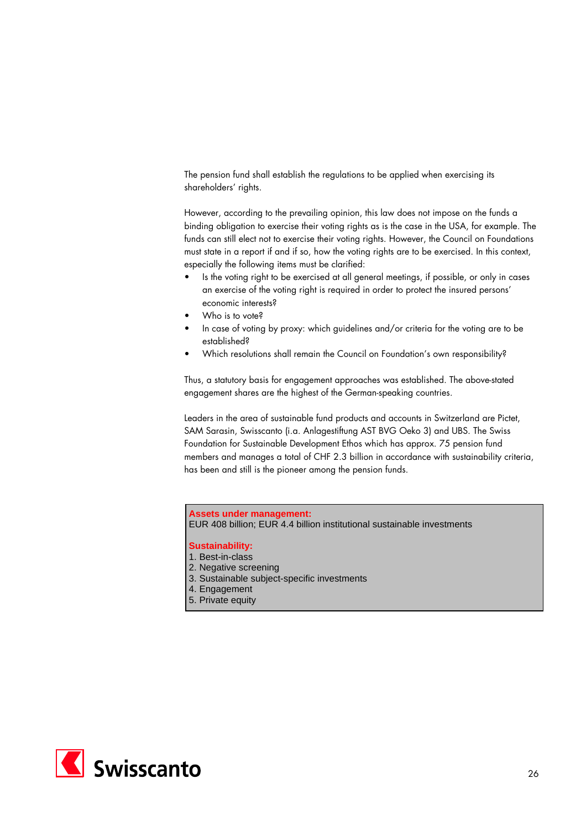The pension fund shall establish the regulations to be applied when exercising its shareholders' rights.

However, according to the prevailing opinion, this law does not impose on the funds a binding obligation to exercise their voting rights as is the case in the USA, for example. The funds can still elect not to exercise their voting rights. However, the Council on Foundations must state in a report if and if so, how the voting rights are to be exercised. In this context, especially the following items must be clarified:

- Is the voting right to be exercised at all general meetings, if possible, or only in cases an exercise of the voting right is required in order to protect the insured persons' economic interests?
- Who is to vote?
- In case of voting by proxy: which guidelines and/or criteria for the voting are to be established?
- Which resolutions shall remain the Council on Foundation's own responsibility?

Thus, a statutory basis for engagement approaches was established. The above-stated engagement shares are the highest of the German-speaking countries.

Leaders in the area of sustainable fund products and accounts in Switzerland are Pictet, SAM Sarasin, Swisscanto (i.a. Anlagestiftung AST BVG Oeko 3) and UBS. The Swiss Foundation for Sustainable Development Ethos which has approx. 75 pension fund members and manages a total of CHF 2.3 billion in accordance with sustainability criteria, has been and still is the pioneer among the pension funds.

## **Assets under management:**

EUR 408 billion; EUR 4.4 billion institutional sustainable investments

- 1. Best-in-class
- 2. Negative screening
- 3. Sustainable subject-specific investments
- 4. Engagement
- 5. Private equity

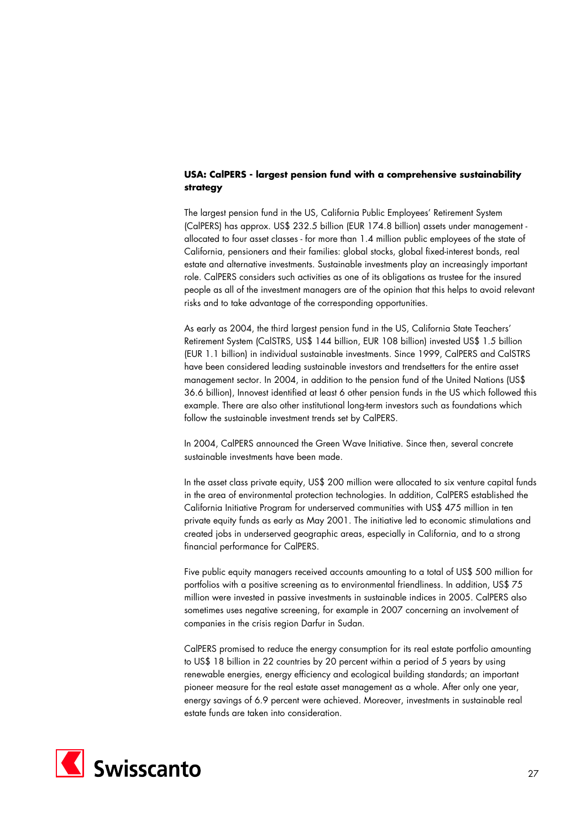# **USA: CalPERS - largest pension fund with a comprehensive sustainability strategy**

The largest pension fund in the US, California Public Employees' Retirement System (CalPERS) has approx. US\$ 232.5 billion (EUR 174.8 billion) assets under management allocated to four asset classes - for more than 1.4 million public employees of the state of California, pensioners and their families: global stocks, global fixed-interest bonds, real estate and alternative investments. Sustainable investments play an increasingly important role. CalPERS considers such activities as one of its obligations as trustee for the insured people as all of the investment managers are of the opinion that this helps to avoid relevant risks and to take advantage of the corresponding opportunities.

As early as 2004, the third largest pension fund in the US, California State Teachers' Retirement System (CalSTRS, US\$ 144 billion, EUR 108 billion) invested US\$ 1.5 billion (EUR 1.1 billion) in individual sustainable investments. Since 1999, CalPERS and CalSTRS have been considered leading sustainable investors and trendsetters for the entire asset management sector. In 2004, in addition to the pension fund of the United Nations (US\$ 36.6 billion), Innovest identified at least 6 other pension funds in the US which followed this example. There are also other institutional long-term investors such as foundations which follow the sustainable investment trends set by CalPERS.

In 2004, CalPERS announced the Green Wave Initiative. Since then, several concrete sustainable investments have been made.

In the asset class private equity, US\$ 200 million were allocated to six venture capital funds in the area of environmental protection technologies. In addition, CalPERS established the California Initiative Program for underserved communities with US\$ 475 million in ten private equity funds as early as May 2001. The initiative led to economic stimulations and created jobs in underserved geographic areas, especially in California, and to a strong financial performance for CalPERS.

Five public equity managers received accounts amounting to a total of US\$ 500 million for portfolios with a positive screening as to environmental friendliness. In addition, US\$ 75 million were invested in passive investments in sustainable indices in 2005. CalPERS also sometimes uses negative screening, for example in 2007 concerning an involvement of companies in the crisis region Darfur in Sudan.

CalPERS promised to reduce the energy consumption for its real estate portfolio amounting to US\$ 18 billion in 22 countries by 20 percent within a period of 5 years by using renewable energies, energy efficiency and ecological building standards; an important pioneer measure for the real estate asset management as a whole. After only one year, energy savings of 6.9 percent were achieved. Moreover, investments in sustainable real estate funds are taken into consideration.

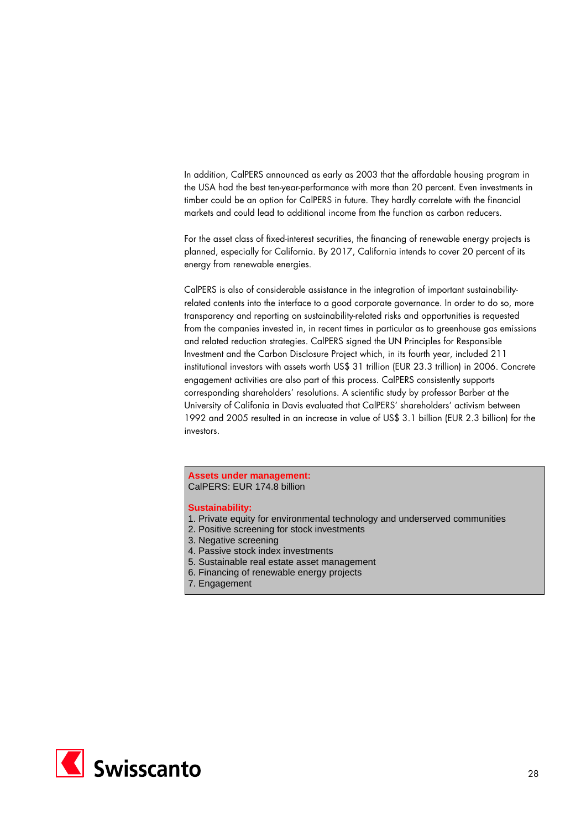In addition, CalPERS announced as early as 2003 that the affordable housing program in the USA had the best ten-year-performance with more than 20 percent. Even investments in timber could be an option for CalPERS in future. They hardly correlate with the financial markets and could lead to additional income from the function as carbon reducers.

For the asset class of fixed-interest securities, the financing of renewable energy projects is planned, especially for California. By 2017, California intends to cover 20 percent of its energy from renewable energies.

CalPERS is also of considerable assistance in the integration of important sustainabilityrelated contents into the interface to a good corporate governance. In order to do so, more transparency and reporting on sustainability-related risks and opportunities is requested from the companies invested in, in recent times in particular as to greenhouse gas emissions and related reduction strategies. CalPERS signed the UN Principles for Responsible Investment and the Carbon Disclosure Project which, in its fourth year, included 211 institutional investors with assets worth US\$ 31 trillion (EUR 23.3 trillion) in 2006. Concrete engagement activities are also part of this process. CalPERS consistently supports corresponding shareholders' resolutions. A scientific study by professor Barber at the University of Califonia in Davis evaluated that CalPERS' shareholders' activism between 1992 and 2005 resulted in an increase in value of US\$ 3.1 billion (EUR 2.3 billion) for the investors.

#### **Assets under management:**  CalPERS: EUR 174.8 billion

- 1. Private equity for environmental technology and underserved communities
- 2. Positive screening for stock investments
- 3. Negative screening
- 4. Passive stock index investments
- 5. Sustainable real estate asset management
- 6. Financing of renewable energy projects
- 7. Engagement

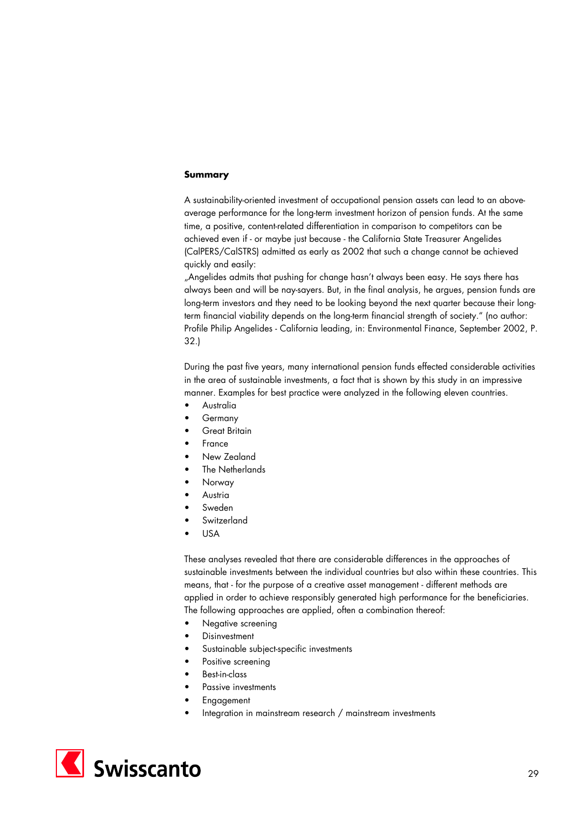## **Summary**

A sustainability-oriented investment of occupational pension assets can lead to an aboveaverage performance for the long-term investment horizon of pension funds. At the same time, a positive, content-related differentiation in comparison to competitors can be achieved even if - or maybe just because - the California State Treasurer Angelides (CalPERS/CalSTRS) admitted as early as 2002 that such a change cannot be achieved quickly and easily:

"Angelides admits that pushing for change hasn't always been easy. He says there has always been and will be nay-sayers. But, in the final analysis, he argues, pension funds are long-term investors and they need to be looking beyond the next quarter because their longterm financial viability depends on the long-term financial strength of society." (no author: Profile Philip Angelides - California leading, in: Environmental Finance, September 2002, P. 32.)

During the past five years, many international pension funds effected considerable activities in the area of sustainable investments, a fact that is shown by this study in an impressive manner. Examples for best practice were analyzed in the following eleven countries.

- **Australia**
- **Germany**
- Great Britain
- France
- New Zealand
- The Netherlands
- Norway
- **Austria**
- Sweden
- **Switzerland**
- USA

These analyses revealed that there are considerable differences in the approaches of sustainable investments between the individual countries but also within these countries. This means, that - for the purpose of a creative asset management - different methods are applied in order to achieve responsibly generated high performance for the beneficiaries. The following approaches are applied, often a combination thereof:

- Negative screening
- **Disinvestment**
- Sustainable subject-specific investments
- Positive screening
- Best-in-class
- Passive investments
- **Engagement**
- Integration in mainstream research / mainstream investments

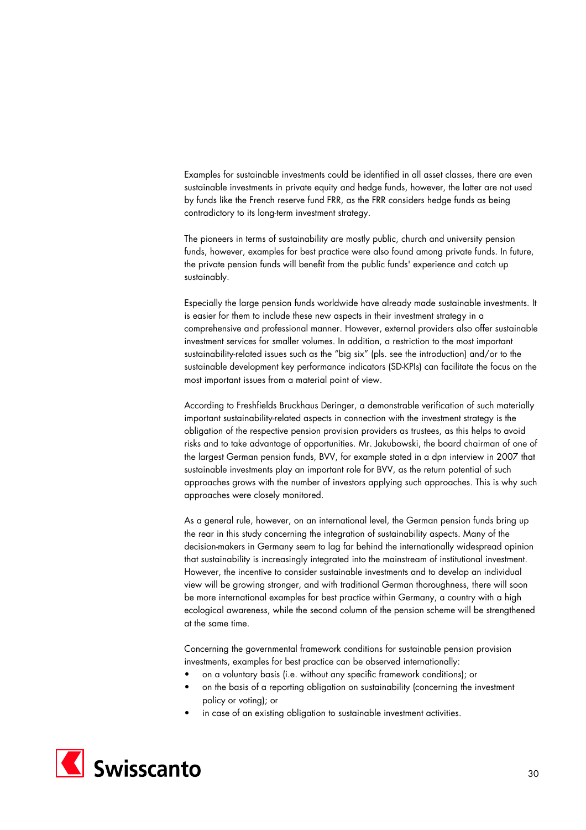Examples for sustainable investments could be identified in all asset classes, there are even sustainable investments in private equity and hedge funds, however, the latter are not used by funds like the French reserve fund FRR, as the FRR considers hedge funds as being contradictory to its long-term investment strategy.

The pioneers in terms of sustainability are mostly public, church and university pension funds, however, examples for best practice were also found among private funds. In future, the private pension funds will benefit from the public funds' experience and catch up sustainably.

Especially the large pension funds worldwide have already made sustainable investments. It is easier for them to include these new aspects in their investment strategy in a comprehensive and professional manner. However, external providers also offer sustainable investment services for smaller volumes. In addition, a restriction to the most important sustainability-related issues such as the "big six" (pls. see the introduction) and/or to the sustainable development key performance indicators (SD-KPIs) can facilitate the focus on the most important issues from a material point of view.

According to Freshfields Bruckhaus Deringer, a demonstrable verification of such materially important sustainability-related aspects in connection with the investment strategy is the obligation of the respective pension provision providers as trustees, as this helps to avoid risks and to take advantage of opportunities. Mr. Jakubowski, the board chairman of one of the largest German pension funds, BVV, for example stated in a dpn interview in 2007 that sustainable investments play an important role for BVV, as the return potential of such approaches grows with the number of investors applying such approaches. This is why such approaches were closely monitored.

As a general rule, however, on an international level, the German pension funds bring up the rear in this study concerning the integration of sustainability aspects. Many of the decision-makers in Germany seem to lag far behind the internationally widespread opinion that sustainability is increasingly integrated into the mainstream of institutional investment. However, the incentive to consider sustainable investments and to develop an individual view will be growing stronger, and with traditional German thoroughness, there will soon be more international examples for best practice within Germany, a country with a high ecological awareness, while the second column of the pension scheme will be strengthened at the same time.

Concerning the governmental framework conditions for sustainable pension provision investments, examples for best practice can be observed internationally:

- on a voluntary basis (i.e. without any specific framework conditions); or
- on the basis of a reporting obligation on sustainability (concerning the investment policy or voting); or
- in case of an existing obligation to sustainable investment activities.

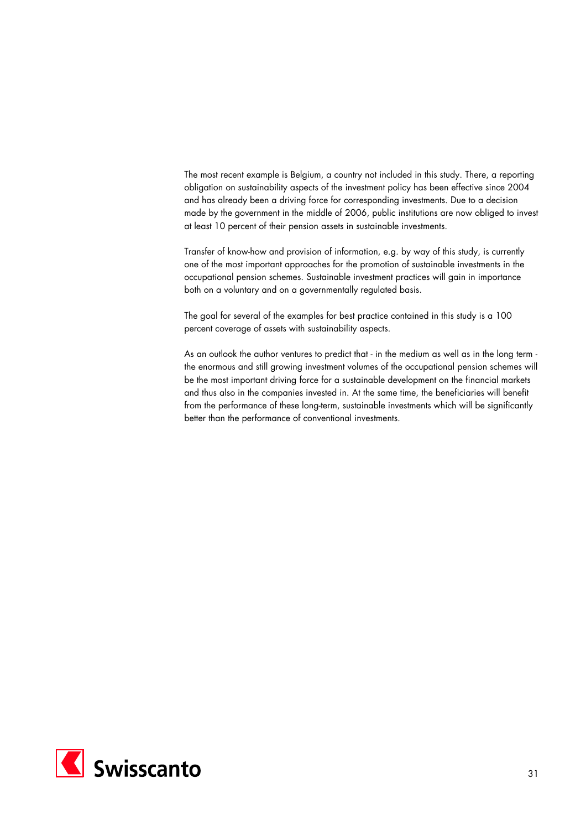The most recent example is Belgium, a country not included in this study. There, a reporting obligation on sustainability aspects of the investment policy has been effective since 2004 and has already been a driving force for corresponding investments. Due to a decision made by the government in the middle of 2006, public institutions are now obliged to invest at least 10 percent of their pension assets in sustainable investments.

Transfer of know-how and provision of information, e.g. by way of this study, is currently one of the most important approaches for the promotion of sustainable investments in the occupational pension schemes. Sustainable investment practices will gain in importance both on a voluntary and on a governmentally regulated basis.

The goal for several of the examples for best practice contained in this study is a 100 percent coverage of assets with sustainability aspects.

As an outlook the author ventures to predict that - in the medium as well as in the long term the enormous and still growing investment volumes of the occupational pension schemes will be the most important driving force for a sustainable development on the financial markets and thus also in the companies invested in. At the same time, the beneficiaries will benefit from the performance of these long-term, sustainable investments which will be significantly better than the performance of conventional investments.